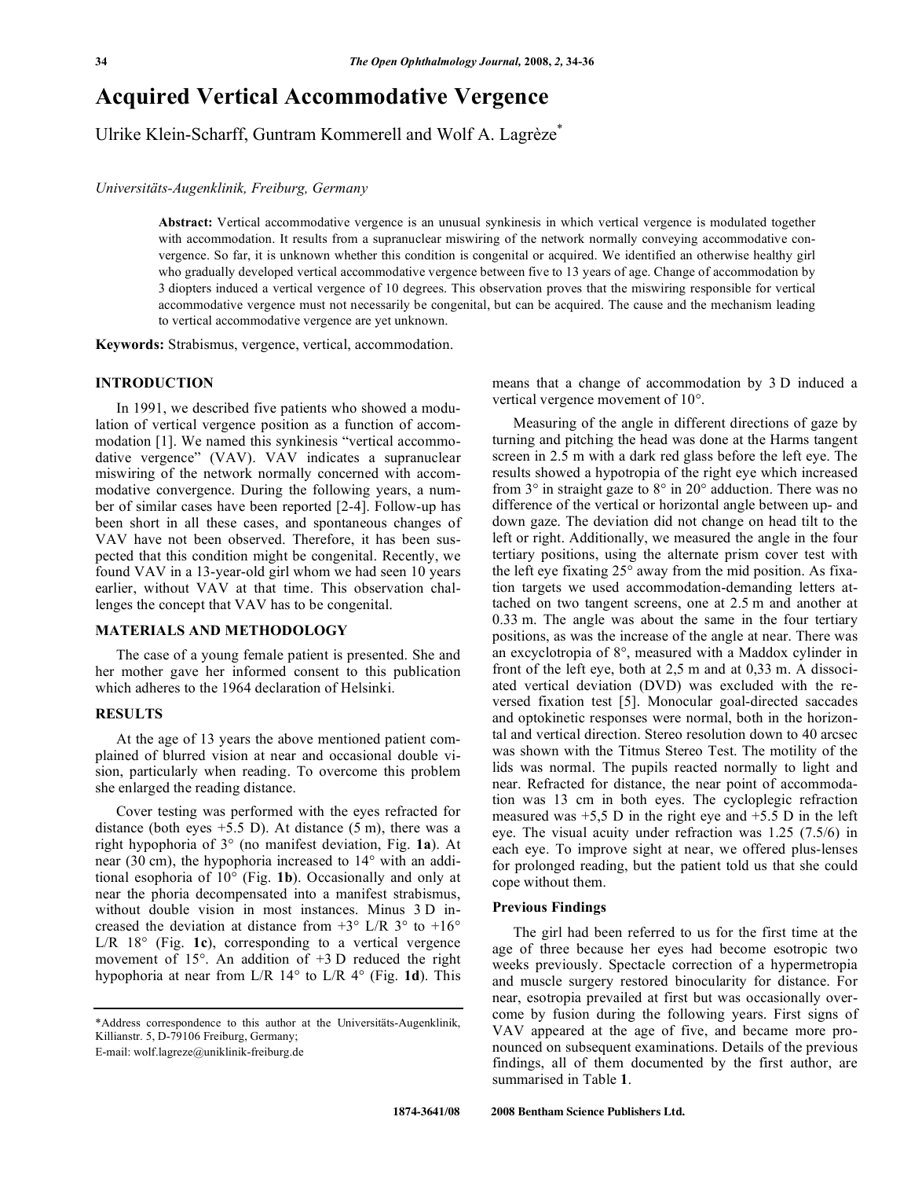# **Acquired Vertical Accommodative Vergence**

Ulrike Klein-Scharff, Guntram Kommerell and Wolf A. Lagrèze\*

# *Universitäts-Augenklinik, Freiburg, Germany*

**Abstract:** Vertical accommodative vergence is an unusual synkinesis in which vertical vergence is modulated together with accommodation. It results from a supranuclear miswiring of the network normally conveying accommodative convergence. So far, it is unknown whether this condition is congenital or acquired. We identified an otherwise healthy girl who gradually developed vertical accommodative vergence between five to 13 years of age. Change of accommodation by 3 diopters induced a vertical vergence of 10 degrees. This observation proves that the miswiring responsible for vertical accommodative vergence must not necessarily be congenital, but can be acquired. The cause and the mechanism leading to vertical accommodative vergence are yet unknown.

**Keywords:** Strabismus, vergence, vertical, accommodation.

# **INTRODUCTION**

 In 1991, we described five patients who showed a modulation of vertical vergence position as a function of accommodation [1]. We named this synkinesis "vertical accommodative vergence" (VAV). VAV indicates a supranuclear miswiring of the network normally concerned with accommodative convergence. During the following years, a number of similar cases have been reported [2-4]. Follow-up has been short in all these cases, and spontaneous changes of VAV have not been observed. Therefore, it has been suspected that this condition might be congenital. Recently, we found VAV in a 13-year-old girl whom we had seen 10 years earlier, without VAV at that time. This observation challenges the concept that VAV has to be congenital.

# **MATERIALS AND METHODOLOGY**

 The case of a young female patient is presented. She and her mother gave her informed consent to this publication which adheres to the 1964 declaration of Helsinki.

# **RESULTS**

 At the age of 13 years the above mentioned patient complained of blurred vision at near and occasional double vision, particularly when reading. To overcome this problem she enlarged the reading distance.

 Cover testing was performed with the eyes refracted for distance (both eyes  $+5.5$  D). At distance  $(5 \text{ m})$ , there was a right hypophoria of 3° (no manifest deviation, Fig. **1a**). At near (30 cm), the hypophoria increased to 14° with an additional esophoria of 10° (Fig. **1b**). Occasionally and only at near the phoria decompensated into a manifest strabismus, without double vision in most instances. Minus 3 D increased the deviation at distance from  $+3^{\circ}$  L/R  $3^{\circ}$  to  $+16^{\circ}$ L/R 18° (Fig. **1c**), corresponding to a vertical vergence movement of  $15^\circ$ . An addition of  $+3$  D reduced the right hypophoria at near from L/R 14° to L/R 4° (Fig. **1d**). This

means that a change of accommodation by 3 D induced a vertical vergence movement of 10°.

 Measuring of the angle in different directions of gaze by turning and pitching the head was done at the Harms tangent screen in 2.5 m with a dark red glass before the left eye. The results showed a hypotropia of the right eye which increased from 3° in straight gaze to 8° in 20° adduction. There was no difference of the vertical or horizontal angle between up- and down gaze. The deviation did not change on head tilt to the left or right. Additionally, we measured the angle in the four tertiary positions, using the alternate prism cover test with the left eye fixating 25° away from the mid position. As fixation targets we used accommodation-demanding letters attached on two tangent screens, one at 2.5 m and another at 0.33 m. The angle was about the same in the four tertiary positions, as was the increase of the angle at near. There was an excyclotropia of 8°, measured with a Maddox cylinder in front of the left eye, both at 2,5 m and at 0,33 m. A dissociated vertical deviation (DVD) was excluded with the reversed fixation test [5]. Monocular goal-directed saccades and optokinetic responses were normal, both in the horizontal and vertical direction. Stereo resolution down to 40 arcsec was shown with the Titmus Stereo Test. The motility of the lids was normal. The pupils reacted normally to light and near. Refracted for distance, the near point of accommodation was 13 cm in both eyes. The cycloplegic refraction measured was  $+5.5$  D in the right eye and  $+5.5$  D in the left eye. The visual acuity under refraction was 1.25 (7.5/6) in each eye. To improve sight at near, we offered plus-lenses for prolonged reading, but the patient told us that she could cope without them.

## **Previous Findings**

 The girl had been referred to us for the first time at the age of three because her eyes had become esotropic two weeks previously. Spectacle correction of a hypermetropia and muscle surgery restored binocularity for distance. For near, esotropia prevailed at first but was occasionally overcome by fusion during the following years. First signs of VAV appeared at the age of five, and became more pronounced on subsequent examinations. Details of the previous findings, all of them documented by the first author, are summarised in Table **1**.

<sup>\*</sup>Address correspondence to this author at the Universitäts-Augenklinik, Killianstr. 5, D-79106 Freiburg, Germany;

E-mail: wolf.lagreze@uniklinik-freiburg.de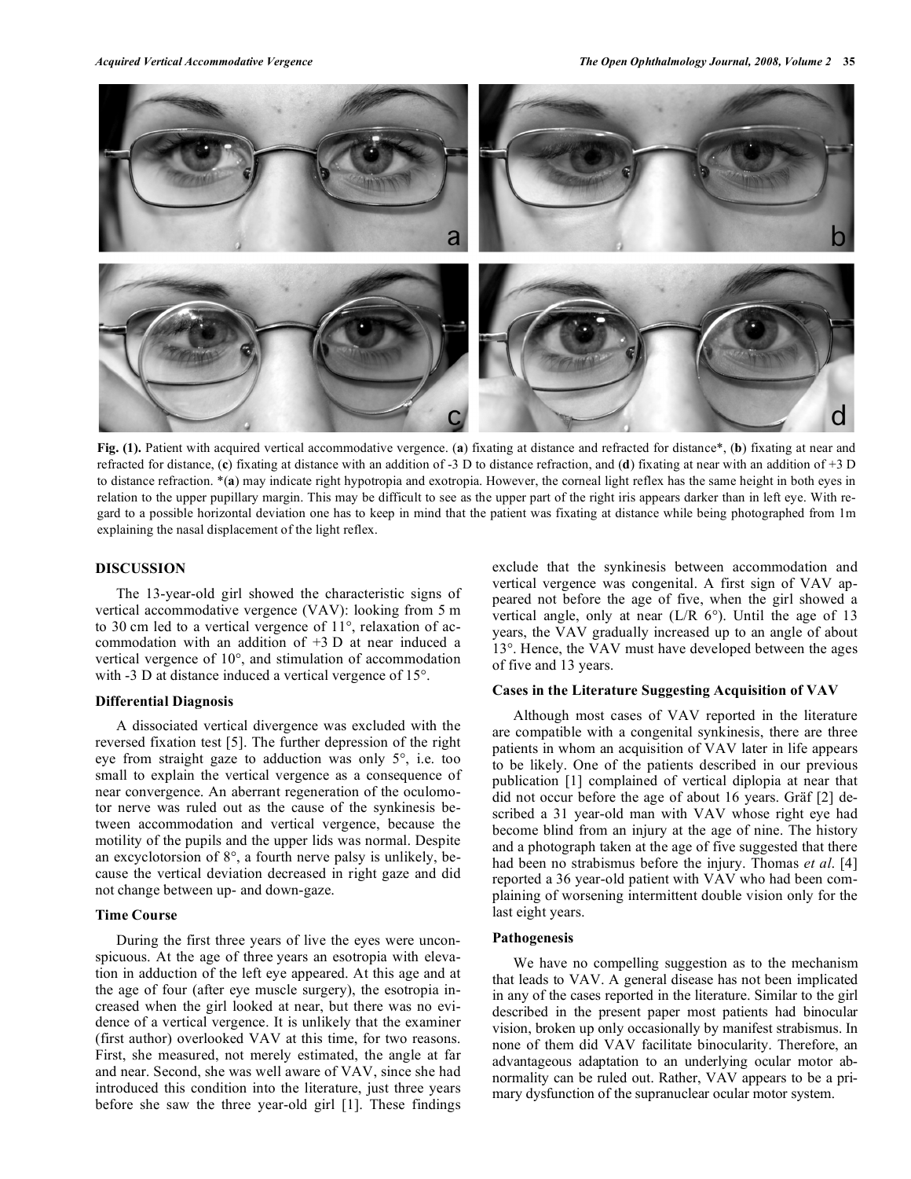

**Fig. (1).** Patient with acquired vertical accommodative vergence. (**a**) fixating at distance and refracted for distance\*, (**b**) fixating at near and refracted for distance, (**c**) fixating at distance with an addition of -3 D to distance refraction, and (**d**) fixating at near with an addition of +3 D to distance refraction. \*(**a**) may indicate right hypotropia and exotropia. However, the corneal light reflex has the same height in both eyes in relation to the upper pupillary margin. This may be difficult to see as the upper part of the right iris appears darker than in left eye. With regard to a possible horizontal deviation one has to keep in mind that the patient was fixating at distance while being photographed from 1m explaining the nasal displacement of the light reflex.

## **DISCUSSION**

 The 13-year-old girl showed the characteristic signs of vertical accommodative vergence (VAV): looking from 5 m to 30 cm led to a vertical vergence of 11°, relaxation of accommodation with an addition of +3 D at near induced a vertical vergence of 10°, and stimulation of accommodation with -3 D at distance induced a vertical vergence of 15°.

#### **Differential Diagnosis**

 A dissociated vertical divergence was excluded with the reversed fixation test [5]. The further depression of the right eye from straight gaze to adduction was only 5°, i.e. too small to explain the vertical vergence as a consequence of near convergence. An aberrant regeneration of the oculomotor nerve was ruled out as the cause of the synkinesis between accommodation and vertical vergence, because the motility of the pupils and the upper lids was normal. Despite an excyclotorsion of 8°, a fourth nerve palsy is unlikely, because the vertical deviation decreased in right gaze and did not change between up- and down-gaze.

## **Time Course**

 During the first three years of live the eyes were unconspicuous. At the age of three years an esotropia with elevation in adduction of the left eye appeared. At this age and at the age of four (after eye muscle surgery), the esotropia increased when the girl looked at near, but there was no evidence of a vertical vergence. It is unlikely that the examiner (first author) overlooked VAV at this time, for two reasons. First, she measured, not merely estimated, the angle at far and near. Second, she was well aware of VAV, since she had introduced this condition into the literature, just three years before she saw the three year-old girl [1]. These findings

exclude that the synkinesis between accommodation and vertical vergence was congenital. A first sign of VAV appeared not before the age of five, when the girl showed a vertical angle, only at near  $(L/R 6^{\circ})$ . Until the age of 13 years, the VAV gradually increased up to an angle of about 13°. Hence, the VAV must have developed between the ages of five and 13 years.

#### **Cases in the Literature Suggesting Acquisition of VAV**

 Although most cases of VAV reported in the literature are compatible with a congenital synkinesis, there are three patients in whom an acquisition of VAV later in life appears to be likely. One of the patients described in our previous publication [1] complained of vertical diplopia at near that did not occur before the age of about 16 years. Gräf [2] described a 31 year-old man with VAV whose right eye had become blind from an injury at the age of nine. The history and a photograph taken at the age of five suggested that there had been no strabismus before the injury. Thomas *et al*. [4] reported a 36 year-old patient with VAV who had been complaining of worsening intermittent double vision only for the last eight years.

#### **Pathogenesis**

 We have no compelling suggestion as to the mechanism that leads to VAV. A general disease has not been implicated in any of the cases reported in the literature. Similar to the girl described in the present paper most patients had binocular vision, broken up only occasionally by manifest strabismus. In none of them did VAV facilitate binocularity. Therefore, an advantageous adaptation to an underlying ocular motor abnormality can be ruled out. Rather, VAV appears to be a primary dysfunction of the supranuclear ocular motor system.